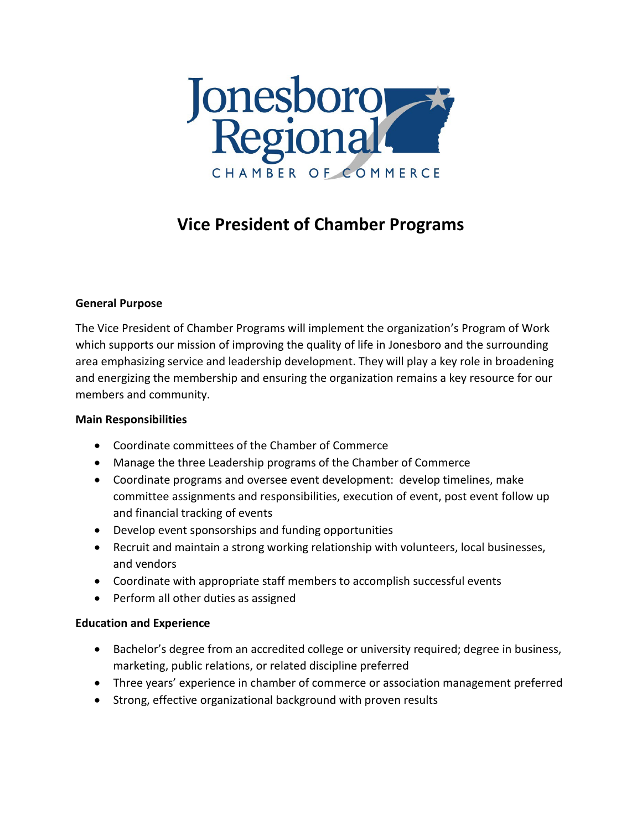

# **Vice President of Chamber Programs**

## **General Purpose**

The Vice President of Chamber Programs will implement the organization's Program of Work which supports our mission of improving the quality of life in Jonesboro and the surrounding area emphasizing service and leadership development. They will play a key role in broadening and energizing the membership and ensuring the organization remains a key resource for our members and community.

### **Main Responsibilities**

- Coordinate committees of the Chamber of Commerce
- Manage the three Leadership programs of the Chamber of Commerce
- Coordinate programs and oversee event development: develop timelines, make committee assignments and responsibilities, execution of event, post event follow up and financial tracking of events
- Develop event sponsorships and funding opportunities
- Recruit and maintain a strong working relationship with volunteers, local businesses, and vendors
- Coordinate with appropriate staff members to accomplish successful events
- Perform all other duties as assigned

### **Education and Experience**

- Bachelor's degree from an accredited college or university required; degree in business, marketing, public relations, or related discipline preferred
- Three years' experience in chamber of commerce or association management preferred
- Strong, effective organizational background with proven results